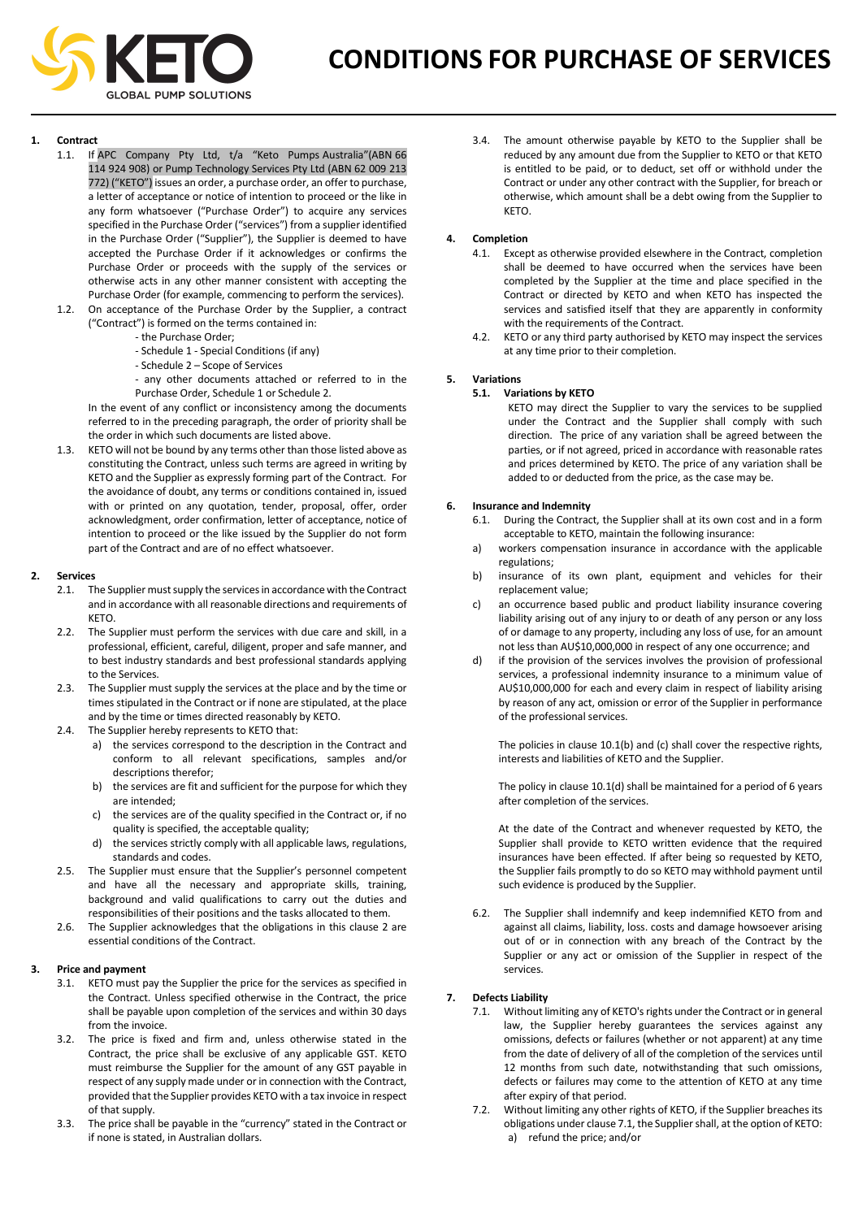

- **1. Contract**  If APC Company Pty Ltd, t/a "Keto Pumps Australia"(ABN 66 114 924 908) or Pump Technology Services Pty Ltd (ABN 62 009 213 772) ("KETO") issues an order, a purchase order, an offer to purchase, a letter of acceptance or notice of intention to proceed or the like in any form whatsoever ("Purchase Order") to acquire any services specified in the Purchase Order ("services") from a supplier identified in the Purchase Order ("Supplier"), the Supplier is deemed to have accepted the Purchase Order if it acknowledges or confirms the Purchase Order or proceeds with the supply of the services or otherwise acts in any other manner consistent with accepting the Purchase Order (for example, commencing to perform the services). 1.2. On acceptance of the Purchase Order by the Supplier, a contract
	- ("Contract") is formed on the terms contained in:
		- the Purchase Order;
		- Schedule 1 Special Conditions (if any)
		- Schedule 2 Scope of Services

- any other documents attached or referred to in the Purchase Order, Schedule 1 or Schedule 2.

In the event of any conflict or inconsistency among the documents referred to in the preceding paragraph, the order of priority shall be the order in which such documents are listed above.

1.3. KETO will not be bound by any terms other than those listed above as constituting the Contract, unless such terms are agreed in writing by KETO and the Supplier as expressly forming part of the Contract. For the avoidance of doubt, any terms or conditions contained in, issued with or printed on any quotation, tender, proposal, offer, order acknowledgment, order confirmation, letter of acceptance, notice of intention to proceed or the like issued by the Supplier do not form part of the Contract and are of no effect whatsoever.

### **2. Services**

- 2.1. The Supplier must supply the services in accordance with the Contract and in accordance with all reasonable directions and requirements of KETO.
- 2.2. The Supplier must perform the services with due care and skill, in a professional, efficient, careful, diligent, proper and safe manner, and to best industry standards and best professional standards applying to the Services.
- 2.3. The Supplier must supply the services at the place and by the time or times stipulated in the Contract or if none are stipulated, at the place and by the time or times directed reasonably by KETO.
- 2.4. The Supplier hereby represents to KETO that:
	- a) the services correspond to the description in the Contract and conform to all relevant specifications, samples and/or descriptions therefor;
	- b) the services are fit and sufficient for the purpose for which they are intended;
	- c) the services are of the quality specified in the Contract or, if no quality is specified, the acceptable quality;
	- d) the services strictly comply with all applicable laws, regulations, standards and codes.
- 2.5. The Supplier must ensure that the Supplier's personnel competent and have all the necessary and appropriate skills, training, background and valid qualifications to carry out the duties and responsibilities of their positions and the tasks allocated to them.
- 2.6. The Supplier acknowledges that the obligations in this clause 2 are essential conditions of the Contract.

### **3. Price and payment**

- 3.1. KETO must pay the Supplier the price for the services as specified in the Contract. Unless specified otherwise in the Contract, the price shall be payable upon completion of the services and within 30 days from the invoice.
- 3.2. The price is fixed and firm and, unless otherwise stated in the Contract, the price shall be exclusive of any applicable GST. KETO must reimburse the Supplier for the amount of any GST payable in respect of any supply made under or in connection with the Contract, provided that the Supplier provides KETO with a tax invoice in respect of that supply.
- 3.3. The price shall be payable in the "currency" stated in the Contract or if none is stated, in Australian dollars.

3.4. The amount otherwise payable by KETO to the Supplier shall be reduced by any amount due from the Supplier to KETO or that KETO is entitled to be paid, or to deduct, set off or withhold under the Contract or under any other contract with the Supplier, for breach or otherwise, which amount shall be a debt owing from the Supplier to KETO.

## **4. Completion**

- 4.1. Except as otherwise provided elsewhere in the Contract, completion shall be deemed to have occurred when the services have been completed by the Supplier at the time and place specified in the Contract or directed by KETO and when KETO has inspected the services and satisfied itself that they are apparently in conformity with the requirements of the Contract.
- 4.2. KETO or any third party authorised by KETO may inspect the services at any time prior to their completion.

# **5. Variations**

## **5.1. Variations by KETO**

KETO may direct the Supplier to vary the services to be supplied under the Contract and the Supplier shall comply with such direction. The price of any variation shall be agreed between the parties, or if not agreed, priced in accordance with reasonable rates and prices determined by KETO. The price of any variation shall be added to or deducted from the price, as the case may be.

### **6. Insurance and Indemnity**

- During the Contract, the Supplier shall at its own cost and in a form acceptable to KETO, maintain the following insurance:
- a) workers compensation insurance in accordance with the applicable regulations;
- b) insurance of its own plant, equipment and vehicles for their replacement value;
- c) an occurrence based public and product liability insurance covering liability arising out of any injury to or death of any person or any loss of or damage to any property, including any loss of use, for an amount not less than AU\$10,000,000 in respect of any one occurrence; and
- d) if the provision of the services involves the provision of professional services, a professional indemnity insurance to a minimum value of AU\$10,000,000 for each and every claim in respect of liability arising by reason of any act, omission or error of the Supplier in performance of the professional services.

The policies in clause 10.1(b) and (c) shall cover the respective rights, interests and liabilities of KETO and the Supplier.

The policy in clause 10.1(d) shall be maintained for a period of 6 years after completion of the services.

At the date of the Contract and whenever requested by KETO, the Supplier shall provide to KETO written evidence that the required insurances have been effected. If after being so requested by KETO, the Supplier fails promptly to do so KETO may withhold payment until such evidence is produced by the Supplier.

6.2. The Supplier shall indemnify and keep indemnified KETO from and against all claims, liability, loss. costs and damage howsoever arising out of or in connection with any breach of the Contract by the Supplier or any act or omission of the Supplier in respect of the services.

# **7. Defects Liability**

- 7.1. Without limiting any of KETO's rights under the Contract or in general law, the Supplier hereby guarantees the services against any omissions, defects or failures (whether or not apparent) at any time from the date of delivery of all of the completion of the services until 12 months from such date, notwithstanding that such omissions, defects or failures may come to the attention of KETO at any time after expiry of that period.
- 7.2. Without limiting any other rights of KETO, if the Supplier breaches its obligations under clause 7.1, the Supplier shall, at the option of KETO: a) refund the price; and/or